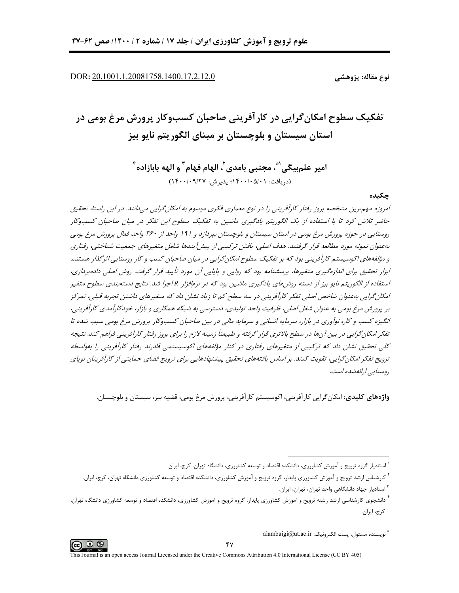DOR: 20.1001.1.20081758.1400.17.2.12.0

نوع مقاله: پژوهشي

# تفکیک سطوح امکان گرایی در کارآفرینی صاحبان کسبوکار پرورش مرغ بومی در استان سيستان و بلوچستان بر مبناي الگوريتم نايو بيز

امير علم؛يگي<sup>(\*</sup>، مجتبي بامدي<sup>٢</sup>، الهام فهام<sup>٣</sup> و الهه بابازاده ً (دريافت: ١٤٠١/٠٥/٠١٤ يذيرش: ١٣٠٠/٠٩/٢٧)

### جكىدە

امروزه مهم ترین مشخصه بروز رفتار کارآفرینی را در نوع معماری فکری موسوم به امکان گرایی میدانند. در این راستا، تحقیق حاضر تلاش کرد تا با استفاده از یک الگوریتم یادگیری ماشین به تفکیک سطوح این تفکر در میان صاحبان کسبوکار روستایی در حوزه پرورش مرغ بومی در استان سیستان و بلوچستان بپردازد و ۱۹۱ واحد از ۳۶۰ واحد فعال پرورش مرغ بومی بهعنوان نمونه مورد مطالعه قرار گرفتند. هدف اصلی، یافتن ترکیبی از پیش آیندها شامل متغیرهای جمعیت شناختی، رفتاری و مؤلفههای اکوسیستم کارآفرینی بود که بر تفکیک سطوح امکان گرایی در میان صاحبان کسب و کار روستایی اثر گذار هستند. ابزار تحقیق برای اندازه گیری متغیرها، پرسشنامه بود که روایی و پایایی آن مورد تأیید قرار گرفت. روش اصلی دادهپردازی، استفاده از الگوریتم نایو بیز از دسته روشهای یادگیری ماشین بود که در نرم|فزار R اجرا شد. نتایج دستهبندی سطوح متغیر امکان گرایی بهعنوان شاخص اصلی تفکر کارآفرینی در سه سطح کم تا زیاد نشان داد که متغیرهای داشتن تجربه قبلی، تمرکز بر پرورش مرغ بومي به عنوان شغل اصلي، ظرفيت واحد توليدي، دسترسي به شبكه همكاري و بازار، خودكارآمدي كارآفريني، انگیزه کسب و کار، نوآوری در بازار، سرمایه انسانی و سرمایه مالی در بین صاحبان کسبوکار پرورش مرغ بومی سبب شده تا تفکر امکان گرایی در بین آنها در سطح بالاتری قرار گرفته و طبیعتاً زمینه لازم را برای بروز رفتار کارآفرینی فراهم کند. نتیجه کلی تحقیق نشان داد که ترکیبی از متغیرهای رفتاری در کنار مؤلفههای اکوسیستمی قادرند رفتار کارآفرینی را بهواسطه تروپج تفکر امکان گرایی، تقویت کنند. بر اساس یافتههای تحقیق پیشنهادهایی برای تروپج فضای حمایتی از کارآفرینان نوپای دوستایے ادائه شده است.

**واژههای کلیدی:** امکان گرایی کارآفرینی، اکوسیستم کارآفرینی، پرورش مرغ بومی، قضیه بیز، سیستان و بلوچستان.



<sup>&</sup>lt;sup>۱</sup> استادیار گروه ترویج و آموزش کشاورزی، دانشکده اقتصاد و توسعه کشاورزی، دانشگاه تهران، کرج، ایران.

<sup>&</sup>lt;sup>ا</sup> کارشناس ارشد ترویج و آموزش کشاورزی پایدار، گروه ترویج و آموزش کشاورزی، دانشکده اقتصاد و توسعه کشاورزی دانشگاه تهران، کرج، ایران. <sup>۳</sup> استادیار جهاد دانشگاهی واحد تهران، تهران، ایران.

<sup>&</sup>lt;sup>1</sup> دانشجوی کارشناسی ارشد رشته ترویج و آموزش کشاورزی پایدار، گروه ترویج و آموزش کشاورزی، دانشکده اقتصاد و توسعه کشاورزی دانشگاه تهران، کر ج، ایران.

<sup>®</sup> نويسنده مسئول، پست الكترونيک: alambaigi@ut.ac.ir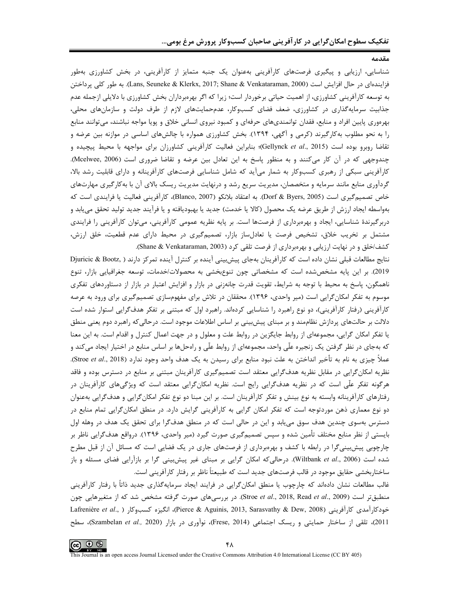وقدوه

شناسایی، ارزیابی و پیگیری فرصتهای کارآفرینی بهعنوان یک جنبه متمایز از کارآفرینی، در بخش کشاورزی بهطور فزايندهاي در حال افزايش است (Lans, Seuneke & Klerkx, 2017; Shane & Venkataraman, 2000). به طور كلي پرداختن به توسعه کارآفرینی کشاورزی، از اهمیت حیاتی برخوردار است؛ زیرا که اگر بهرهبرداران بخش کشاورزی با دلایلی ازجمله عدم جذابیت سرمایهگذاری در کشاورزی، ضعف فضای کسبوکار، عدمحمایتهای لازم از طرف دولت و سازمانهای محلی، بهرهوری پایین افراد و منابع، فقدان توانمندیهای حرفهای و کمبود نیروی انسانی خلاق و پویا مواجه نباشند، میتوانند منابع را به نحو مطلوب به کارگیرند (کرمی و آگهی، ۱۳۹۴). بخش کشاورزی همواره با چالشهای اساسی در موازنه بین عرضه و تقاضا روبرو بوده است (Gellynck et al., 2015)؛ بنابراين فعاليت كارآفريني كشاورزان براي مواجهه با محيط پيچيده و چندوجهی که در آن کار میکنند و به منظور پاسخ به این تعادل بین عرضه و تقاضا ضروری است (Mcelwee, 2006). کارآفرینی سبکی از رهبری کسبوکار به شمار میآید که شامل شناسایی فرصتهای کارآفرینانه و دارای قابلیت رشد بالا، گردآوری منابع مانند سرمایه و متخصصان، مدیریت سریع رشد و درنهایت مدیریت ریسک بالای آن با بهکارگیری مهارتهای خاص تصميم گيري است (Dorf & Byers, 2005). به اعتقاد بلانكو (Blanco, 2007)، كارآفريني فعاليت يا فرايندي است كه بهواسطه ايجاد ارزش از طريق عرضه يک محصول (کالا يا خدمت) جديد يا بهبوديافته و يا فرآيند جديد توليد تحقق مىيابد و دربرگیرندهٔ شناسایی، ایجاد و بهرهبرداری از فرصتها است. بر پایه نظریه عمومی کارآفرینی، میتوان کارآفرینی را فرایندی مشتمل بر تخریب خلاق، تشخیص فرصت یا تعادلساز بازار، تصمیمگیری در محیط دارای عدم قطعیت، خلق ارزش، كشف/خلق و در نهايت ارزيابي و بهرهبرداري از فرصت تلقى كرد (Shane & Venkataraman, 2003).

نتايج مطالعات قبلي نشان داده است كه كارآفرينان بهجاي پيش بيني آينده بر كنترل آينده تمركز دارند ( ,Djuricic & Bootz 2019). بر این پایه مشخصشده است که مشخصاتی چون تنوعبخشی به محصولات/خدمات، توسعه جغرافیایی بازار، تنوع ناهمگون، پاسخ به محیط با توجه به شرایط، تقویت قدرت چانهزنی در بازار و افزایش اعتبار در بازار از دستاوردهای تفکری موسوم به تفکر امکان گرایی است (میر واحدی، ۱۳۹۶). محققان در تلاش برای مفهومسازی تصمیم گیری برای ورود به عرصه کارآفرینی (رفتار کارآفرینی)، دو نوع راهبرد را شناسایی کردهاند. راهبرد اول که مبتنی بر تفکر هدف $\mathfrak{F}$ رایی استوار شده است دلالت بر حالتهای پردازش نظاممند و بر مبنای پیشبینی بر اساس اطلاعات موجود است. درحالی که راهبرد دوم یعنی منطق یا تفکر امکان گرایی، مجموعهای از روابط جایگزین در روابط علت و معلول و در جهت اعمال کنترل و اقدام است. به این معنا که بهجای در نظر گرفتن یک زنجیره علّی واحد، مجموعهای از روابط علّی و راهحلها بر اساس منابع در اختیار ایجاد میکند و عملاً چیزی به نام به تأخیر انداختن به علت نبود منابع برای رسیدن به یک هدف واحد وجود ندارد (Stroe *et al*., 2018). نظریه امکان گرایی در مقابل نظریه هدف گرایی معتقد است تصمیم گیری کارآفرینان مبتنی بر منابع در دسترس بوده و فاقد هرگونه تفکر علّی است که در نظریه هدفگرایی رایج است. نظریه امکان گرایی معتقد است که ویژگیهای کارآفرینان در رفتارهای کارآفرینانه وابسته به نوع بینش و تفکر کارآفرینان است. بر این مبنا دو نوع تفکر امکانگرایی و هدفگرایی بهعنوان دو نوع معماری ذهن موردتوجه است که تفکر امکان گرایی به کارآفرینی گرایش دارد. در منطق امکانگرایی تمام منابع در دسترس بهسوی چندین هدف سوق مییابد و این در حالی است که در منطق هدفگرا برای تحقق یک هدف در وهله اول بایستی از نظر منابع مختلف تأمین شده و سپس تصمیمگیری صورت گیرد (میر واحدی، ۱۳۹۶). درواقع هدف\$رایی ناظر بر چارچوبی پیشبینیگرا در رابطه با کشف و بهرهبرداری از فرصتهای جاری در یک فضایی است که مسائل آن از قبل مطرح شده است (Wiltbank et al., 2006). درحالی که امکان گرایی بر مبنای غیر پیشبینی گرا بر بازآرایی فضای مسئله و باز ساختاربخشی حقایق موجود در قالب فرصتهای جدید است که طبیعتاً ناظر بر رفتار کارآفرینی است.

غالب مطالعات نشان دادهاند که چارچوب یا منطق امکانگرایی در فرایند ایجاد سرمایهگذاری جدید ذاتاً با رفتار کارآفرینی منطبقتر است (Stroe et al., 2018, Read et al., 2009). در بررسیهای صورت گرفته مشخص شد که از متغیرهایی چون خودكارآمدي كارآفريني (2008 ,Pierce & Aguinis, 2013, Sarasvathy & Dew, 2008)، انگيزه كسبوكار ( ,Lafrenière et al 2011)، تلقى از ساختار حمايتى و ريسك اجتماعى (Frese, 2014)، نوآورى در بازار (Szambelan et al., 2020)، سطح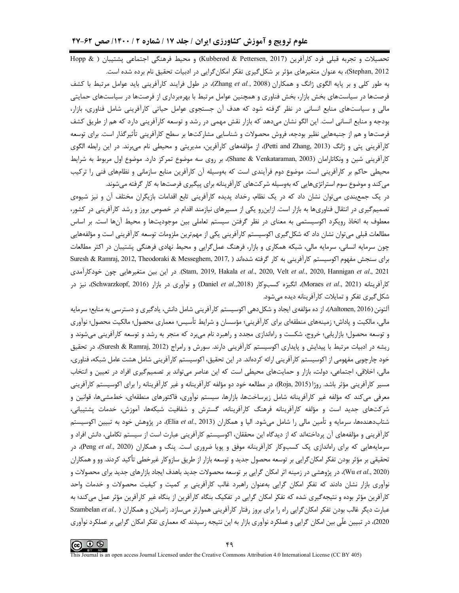تحصیلات و تجربه قبلی فرد کارآفرین (Kubberød & Pettersen, 2017) و محیط فرهنگی اجتماعی پشتیبان ( & Hopp Stephan, 2012)، به عنوان متغیرهای مؤثر بر شکل گیری تفکر امکان گرایی در ادبیات تحقیق نام برده شده است. به طور كلي و بر پايه الگوي ژانگ و همكاران (Zhang et al., 2008)، در طول فرايند كارآفريني بايد عوامل مرتبط با كشف فرصتها در سیاستهای بخش بازار، بخش فناوری و همچنین عوامل مرتبط با بهرهبرداری از فرصتها در سیاستهای حمایتی مالی و سیاستهای منابع انسانی در نظر گرفته شود که هدف آن جستجوی عوامل حیاتی کارآفرینی شامل فناوری، بازار، بودجه و منابع انسانی است. این الگو نشان میدهد که بازار نقش مهمی در رشد و توسعه کارآفرینی دارد که هم از طریق کشف فرصتها و هم از جنبههایی نظیر بودجه، فروش محصولات و شناسایی مشارکتها بر سطح کارآفرینی تأثیرگذار است. برای توسعه كارآفريني پتي و ژانگ (Petti and Zhang, 2013)، از مؤلفههاي كارآفرين، مديريتي و محيطي نام ميبرند. در اين رابطه الگوي کارآفرینی شین و ونکاتارامان (Shane & Venkataraman, 2003)، بر روی سه موضوع تمرکز دارد. موضوع اول مربوط به شرایط محیطی حاکم بر کارآفرینی است. موضوع دوم فرآیندی است که بهوسیله آن کارآفرین منابع سازمانی و نظامهای فنی را ترکیب می کند و موضوع سوم استراتژیهایی که بهوسیله شرکتهای کارآفرینانه برای پیگیری فرصتها به کار گرفته میشوند.

در یک جمع بندی می توان نشان داد که در یک نظام، رخداد پدیده کارآفرینی تابع اقدامات بازیگران مختلف آن و نیز شیوهی تصمیمگیری در انتقال فناوریها به بازار است. ازاینرو یکی از مسیرهای نیازمند اقدام در خصوص بروز و رشد کارآفرینی در کشور، معطوف به اتخاذ رویکرد اکوسیستمی به معنای در نظر گرفتن سیستم تعاملی بین موجودیتها و محیط آنها است. بر اساس مطالعات قبلی می توان نشان داد که شکل گیری اکوسیستم کارآفرینی یکی از مهم ترین ملزومات توسعه کارآفرینی است و مؤلفههایی چون سرمایه انسانی، سرمایه مالی، شبکه همکاری و بازار، فرهنگ عمل گرایی و محیط نهادی فرهنگی پشتیبان در اکثر مطالعات برای سنجش مفهوم اکوسیستم کارآفرینی به کار گرفته شدهاند ( Suresh & Ramraj, 2012, Theodoraki & Messeghem, 2017, Stam, 2019, Hakala et al., 2020, Velt et al., 2020, Hannigan et al., 2021). در اين بين متغيرهايي چون خودكارآمدى كارآفرينانه (Moraes *et al.*, 2021)، انگيزه كسبوكار (Daniel *et al.*,2018) و نوآوري در بازار (Schwarzkopf, 2016)، نيز در شکل گیری تفکر و تمایلات کارآفرینانه دیده میشود.

آلتونن (Aaltonen, 2016)، از ده مؤلفهي ايجاد و شكلدهي اكوسيستم كارآفريني شامل دانش، يادگيري و دسترسي به منابع؛ سرمايه مالی، مالکیت و پاداش؛ زمینههای منطقهای برای کارآفرینی؛ مؤسسان و شرایط تأسیس؛ معماری محصول؛ مالکیت محصول؛ نوآوری و توسعه محصول؛ بازاریابی؛ خروج، شکست و راهاندازی مجدد و راهبرد نام می برد که منجر به رشد و توسعه کارآفرینی میشوند و ریشه در ادبیات مرتبط با پیدایش و پایداری اکوسیستم کارآفرینی دارند. سورش و رامراج (Suresh & Ramraj, 2012)، در تحقیق خود چارچوبی مفهومی از اکوسیستم کارآفرینی ارائه کردهاند. در این تحقیق، اکوسیستم کارآفرینی شامل هشت عامل شبکه، فناوری، مالی، اخلاقی، اجتماعی، دولت، بازار و حمایتهای محیطی است که این عناصر میتواند بر تصمیمگیری افراد در تعیین و انتخاب مسير كارآفريني مؤثر باشد. روژا (Roja, 2015)، در مطالعه خود دو مؤلفه كارآفرينانه و غير كارآفرينانه را براي اكوسيستم كارآفريني معرفی میکند که مؤلفه غیر کارآفرینانه شامل زیرساختها، بازارها، سیستم نوآوری، فاکتورهای منطقهای، خطمشیها، قوانین و شرکتهای جدید است و مؤلفه کارآفرینانه فرهنگ کارآفرینانه، گسترش و شفافیت شبکهها، آموزش، خدمات پشتیبانی، شتابدهندهها، سرمایه و تأمین مالی را شامل میشود. الیا و همکاران (Elia *et al*., 2013)، در پژوهش خود به تبیین اکوسیستم کارآفرینی و مؤلفههای آن پرداختهاند که از دیدگاه این محققان، اکوسیستم کارآفرینی عبارت است از سیستم تکاملی، دانش افراد و سرمایههایی که برای راهاندازی یک کسبوکار کارآفرینانه موفق و پویا ضروری است. پنگ و همکاران (Peng et al., 2020)، در تحقيقي بر مؤثر بودن تفكر امكان گرايي بر توسعه محصول جديد و توسعه بازار از طريق سازوكار غيرخطي تأكيد كردند. وو و همكاران (Wu et al., 2020)، در پژوهشی در زمینه اثر امکان گرایی بر توسعه محصولات جدید باهدف ایجاد بازارهای جدید برای محصولات و نوآوری بازار نشان دادند که تفکر امکان گرایی بهعنوان راهبرد غالب کارآفرینی بر کمیت و کیفیت محصولات و خدمات واحد کارآفرین مؤثر بوده و نتیجهگیری شده که تفکر امکان گرایی در تفکیک بنگاه کارآفرین از بنگاه غیر کارآفرین مؤثر عمل میکند؛ به عبارت دیگر غالب بودن تفکر امکان گرایی راه را برای بروز رفتار کارآفرینی هموارتر میسازد. زامبلان و همکاران ( ,Szambelan et al 2020)، در تبیین علّی بین امکان گرایی و عملکرد نوآوری بازار به این نتیجه رسیدند که معماری تفکر امکان گرایی بر عملکرد نوآوری

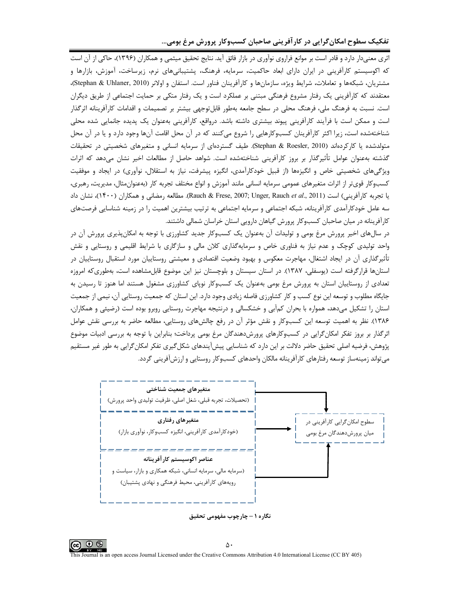اثری معنیدار دارد و قادر است بر موانع فراروی نوآوری در بازار فائق آید. نتایج تحقیق میثمی و همکاران (۱۳۹۶)، حاکی از آن است که اکوسیستم کارآفرینی در ایران دارای ابعاد حاکمیت، سرمایه، فرهنگ، پشتیبانیهای نرم، زیرساخت، آموزش، بازارها و مشتریان، شبکهها و تعاملات، شرایط ویژه، سازمانها و کارآفرینان فناور است. استفان و اولانر (Stephan & Uhlaner, 2010)، معتقدند که کارآفرینی یک رفتار مشروع فرهنگی مبتنی بر عملکرد است و یک رفتار متکی بر حمایت اجتماعی از طریق دیگران است. نسبت به فرهنگ ملی، فرهنگ محلی در سطح جامعه بهطور قابلتوجهی بیشتر بر تصمیمات و اقدامات کارآفرینانه اثرگذار است و ممکن است با فرآیند کارآفرینی پیوند بیشتری داشته باشد. درواقع، کارآفرینی بهعنوان یک پدیده جانمایی شده محلی شناختهشده است، زيرا اكثر كارآفرينان كسبوكارهايي را شروع مي كنند كه در آن محل اقامت آنها وجود دارد و يا در آن محل متولدشده یا کارکردهاند (Stephan & Roesler, 2010). طیف گستردهای از سرمایه انسانی و متغیرهای شخصیتی در تحقیقات گذشته بهعنوان عوامل تأثیرگذار بر بروز کارآفرینی شناختهشده است. شواهد حاصل از مطالعات اخیر نشان میدهد که اثرات ویژگیهای شخصیتی خاص و انگیزهها (از قبیل خودکارآمدی، انگیزه پیشرفت، نیاز به استقلال، نوآوری) در ایجاد و موفقیت كسبوكار قوىتر از اثرات متغيرهاى عمومى سرمايه انسانى مانند آموزش و انواع مختلف تجربه كار (بهعنوان مثال، مديريت، رهبرى، يا تجربه كارآفريني) است (Rauch & Frese, 2007; Unger, Rauch et al., 2011). مطالعه رمضاني و همكاران (١۴٠٠)، نشان داد سه عامل خودکارآمدی کارآفرینانه، شبکه اجتماعی و سرمایه اجتماعی به ترتیب بیشترین اهمیت را در زمینه شناسایی فرصتهای کارآفرینانه در میان صاحبان کسبوکار پرورش گیاهان دارویی استان خراسان شمالی داشتند.

در سالهای اخیر پرورش مرغ بومی و تولیدات آن بهعنوان یک کسبوکار جدید کشاورزی با توجه به امکانپذیری پرورش آن در واحد تولیدی کوچک و عدم نیاز به فناوری خاص و سرمایهگذاری کلان مالی و سازگاری با شرایط اقلیمی و روستایی و نقش تأثیرگذاری آن در ایجاد اشتغال، مهاجرت معکوس و بهبود وضعیت اقتصادی و معیشتی روستاییان مورد استقبال روستاییان در استانها قرارگرفته است (یوسفلی، ۱۳۸۷). در استان سیستان و بلوچستان نیز این موضوع قابلمشاهده است، بهطوریکه امروزه تعدادی از روستاییان استان به پرورش مرغ بومی بهعنوان یک کسبوکار نوپای کشاورزی مشغول هستند اما هنوز تا رسیدن به جایگاه مطلوب و توسعه این نوع کسب و کار کشاورزی فاصله زیادی وجود دارد. این استان که جمعیت روستایی آن، نیمی از جمعیت استان را تشکیل میدهد، همواره با بحران کمآبی و خشکسالی و درنتیجه مهاجرت روستایی روبرو بوده است (رضیئی و همکاران، ۱۳۸۶). نظر به اهمیت توسعه این کسبوکار و نقش مؤثر آن در رفع چالشهای روستایی، مطالعه حاضر به بررسی نقش عوامل اثرگذار بر بروز تفکر امکان گرایی در کسبوکارهای پرورشدهندگان مرغ بومی پرداخت؛ بنابراین با توجه به بررسی ادبیات موضوع پژوهش، فرضیه اصلی تحقیق حاضر دلالت بر این دارد که شناسایی پیش]یندهای شکل گیری تفکر امکان گرایی به طور غیر مستقیم میتواند زمینهساز توسعه رفتارهای کارآفرینانه مالکان واحدهای کسبوکار روستایی و ارزش آفرینی گردد.



نگاره ۱ – چارچوب مفهومی تحقیق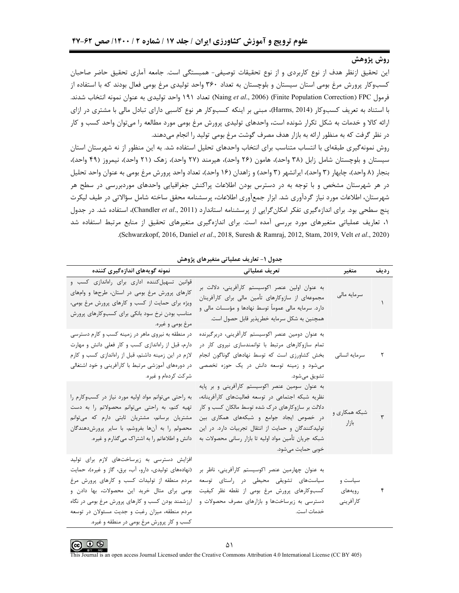## روش پژوهش

این تحقیق ازنظر هدف از نوع کاربردی و از نوع تحقیقات توصیفی- همبستگی است. جامعه آماری تحقیق حاضر صاحبان کسبوکار پرورش مرغ بومی استان سیستان و بلوچستان به تعداد ۳۶۰ واحد تولیدی مرغ بومی فعال بودند که با استفاده از فرمول Finite Population Correction) FPC) (Naing *et al.,* 2006) تعداد ١٩١ واحد توليدي به عنوان نمونه انتخاب شدند. با استناد به تعریف کسبوکار (Harms, 2014)، مبنی بر اینکه کسبوکار هر نوع کاسبی دارای تبادل مالی با مشتری در ازای ارائه کالا و خدمات به شکل تکرار شونده است، واحدهای تولیدی پرورش مرغ بومی مورد مطالعه را میتوان واحد کسب و کار در نظر گرفت که به منظور ارائه به بازار هدف مصرف گوشت مرغ بومی تولید را انجام میدهند.

روش نمونه گیری طبقهای با انتساب متناسب برای انتخاب واحدهای تحلیل استفاده شد. به این منظور از نه شهرستان استان سیستان و بلوچستان شامل زابل (۳۸ واحد)، هامون (۲۶ واحد)، هیرمند (۲۷ واحد)، زهک (۲۱ واحد)، نیمروز (۴۹ واحد)، بنجار (٨ واحد)، چابهار (٣ واحد)، ايرانشهر (٣ واحد) و زاهدان (١۶ واحد)، تعداد واحد پرورش مرغ بومي به عنوان واحد تحليل در هر شهرستان مشخص و با توجه به در دسترس بودن اطلاعات پراکنش جغرافیایی واحدهای موردبررسی در سطح هر شهرستان، اطلاعات مورد نیاز گردآوری شد. ابزار جمعآوری اطلاعات، پرسشنامه محقق ساخته شامل سؤالاتی در طیف لیکرت پنج سطحی بود. برای اندازهگیری تفکر امکان گرایی از پرسشنامه استاندارد (Chandler et al., 2011)، استفاده شد. در جدول ۱، تعاریف عملیاتی متغیرهای مورد بررسی آمده است. برای اندازهگیری متغیرهای تحقیق از منابع مرتبط استفاده شد (Schwarzkopf, 2016, Daniel et al., 2018, Suresh & Ramraj, 2012, Stam, 2019, Velt et al., 2020).

| نمونه گویههای اندازهگیری کننده                                                                                                                                                                                                                                                                                                                       | تعريف عملياتي                                                                                                                                                                                                                                                                                                                                 | متغير                           | رديف |
|------------------------------------------------------------------------------------------------------------------------------------------------------------------------------------------------------------------------------------------------------------------------------------------------------------------------------------------------------|-----------------------------------------------------------------------------------------------------------------------------------------------------------------------------------------------------------------------------------------------------------------------------------------------------------------------------------------------|---------------------------------|------|
| قوانین تسهیل کننده اداری برای راهاندازی کسب و<br>کارهای پرورش مرغ بومی در استان، طرحها و وامهای<br>ویژه برای حمایت از کسب و کارهای پرورش مرغ بومی،<br>مناسب بودن نرخ سود بانکی برای کسبوکارهای پرورش<br>مرغ بومي و غيره.                                                                                                                             | به عنوان اولین عنصر اکوسیستم کارآفرینی، دلالت بر<br>مجموعهای از سازوکارهای تأمین مالی برای کارآفرینان<br>دارد. سرمایه مالی عموماً توسط نهادها و مؤسسات مالی و<br>همچنین به شکل سرمایه خطرپذیر قابل حصول است.                                                                                                                                  | سرمايه مالى                     |      |
| در منطقه به نیروی ماهر در زمینه کسب و کارم دسترسی<br>دارم، قبل از راهاندازی کسب و کار فعلی دانش و مهارت<br>لازم در این زمینه داشتم، قبل از راهاندازی کسب و کارم<br>در دورههای آموزشی مرتبط با کارآفرینی و خود اشتغالی<br>شرکت کردهام و غیره.                                                                                                         | به عنوان دومین عنصر اکوسیستم کارآفرینی، دربرگیرنده<br>تمام سازوکارهای مرتبط با توانمندسازی نیروی کار در<br>بخش کشاورزی است که توسط نهادهای گوناگون انجام<br>می شود و زمینه توسعه دانش در یک حوزه تخصصی<br>تشويق مي شود.                                                                                                                       | سرمايه انسانى                   | ٢    |
| به راحتی میتوانم مواد اولیه مورد نیاز در کسبوکارم را<br>تهیه کنم، به راحتی میتوانم محصولاتم را به دست<br>مشتریان برسانم، مشتریان ثابتی دارم که میتوانم<br>محصولم را به آنها بفروشم، با سایر پرورش دهندگان<br>دانش و اطلاعاتم را به اشتراک میگذارم و غیره.                                                                                            | به عنوان سومین عنصر اکوسیستم کارآفرینی و بر پایه<br>نظریه شبکه اجتماعی در توسعه فعالیتهای کارآفرینانه،<br>دلالت بر سازوکارهای درک شده توسط مالکان کسب و کار<br>در خصوص ایجاد جوامع و شبکههای همکاری بین<br>تولیدکنندگان و حمایت از انتقال تجربیات دارد. در این<br>شبکه جریان تأمین مواد اولیه تا بازار رسانی محصولات به<br>خوبي حمايت مي شود. | شبکه همکاری و<br>بازار          | ٣    |
| افزایش دسترسی به زیرساختهای لازم برای تولید<br>(نهادههای تولیدی، دارو، آب، برق، گاز و غیره)، حمایت<br>مردم منطقه از تولیدات کسب و کارهای پرورش مرغ<br>بومی برای مثال خرید این محصولات، بها دادن و<br>ارزشمند بودن کسب و کارهای پرورش مرغ بومی در نگاه<br>مردم منطقه، میزان رغبت و جدیت مسئولان در توسعه<br>کسب و کار پرورش مرغ بومی در منطقه و غیره. | به عنوان چهارمین عنصر اکوسیستم کارآفرینی، ناظر بر<br>سیاستهای تشویقی محیطی در راستای توسعه<br>کسبوکارهای پرورش مرغ بومی از نقطه نظر کیفیت<br>دسترسی به زیرساختها و بازارهای مصرف محصولات و<br>خدمات است.                                                                                                                                      | سیاست و<br>رويەھاي<br>كارأفريني | ۴    |

جدول ١- تعاريف عملياتي متغيرهاي پژوهش

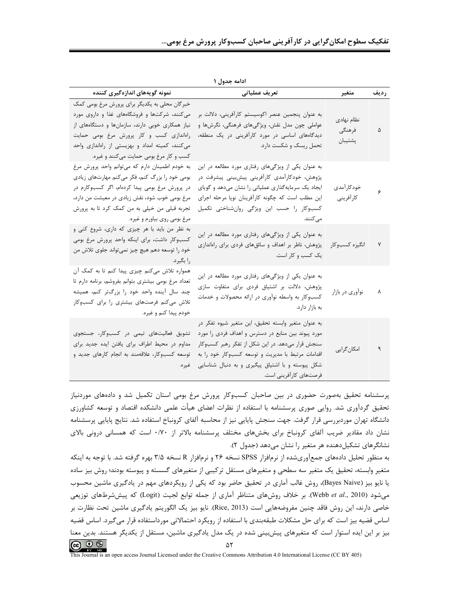| نمونه گویههای اندازهگیری کننده                                                                                                                                                                                                                                                               | تعريف عملياتي                                                                                                                                                                                                                                                                                | متغير                           | رديف |
|----------------------------------------------------------------------------------------------------------------------------------------------------------------------------------------------------------------------------------------------------------------------------------------------|----------------------------------------------------------------------------------------------------------------------------------------------------------------------------------------------------------------------------------------------------------------------------------------------|---------------------------------|------|
| خبرگان محلی به یکدیگر برای پرورش مرغ بومی کمک<br>میکنند، شرکتها و فروشگاههای غذا و داروی مورد<br>نیاز همکاری خوبی دارند، سازمانها و دستگاههای از<br>راهاندازی کسب و کار پرورش مرغ بومی حمایت<br>می کنند، کمیته امداد و بهزیستی از راهاندازی واحد<br>كسب و كار مرغ بومي حمايت مي كنند و غيره. | به عنوان پنجمین عنصر اکوسیستم کارآفرینی، دلالت بر<br>عواملی چون مدل نقش، ویژگیهای فرهنگی، نگرشها و<br>دیدگاههای اساسی در مورد کارآفرینی در یک منطقه،<br>تحمل ریسک و شکست دارد.                                                                                                               | نظام نهادى<br>فرهنگی<br>پشتيبان | ۵    |
| به خودم اطمینان دارم که میتوانم واحد پرورش مرغ<br>بومی خود را بزرگ کنم، فکر میکنم مهارتهای زیادی<br>در پرورش مرغ بومی پیدا کردهام، اگر کسبوکارم در<br>مرغ بومی خوب شود، نقش زیادی در معیشت من دارد،<br>تجربه قبلی من خیلی به من کمک کرد تا به پرورش<br>مرغ بومي روي بياورم و غيره.           | به عنوان یکی از ویژگیهای رفتاری مورد مطالعه در این<br>پژوهش، خودکارآمدی کارآفرینی پیشبینی پیشرفت در<br>ایجاد یک سرمایهگذاری عملیاتی را نشان میدهد و گویای<br>این مطلب است که چگونه کارآفرینان نوپا مرحله اجرای<br>کسبوکار را حسب این ویژگی روانشناختی تکمیل<br>مے کنند.                      | خودكارآمدى<br>كارأفريني         | ۶    |
| به نظر من باید با هر چیزی که داری، شروع کنی و<br>کسبوکار داشت، برای اینکه واحد پرورش مرغ بومی<br>خود را توسعه دهم هیچ چیز نمیتواند جلوی تلاش من<br>,ا بگیر د.                                                                                                                                | به عنوان یکی از ویژگیهای رفتاری مورد مطالعه در این<br>پژوهش، ناظر بر اهداف و سائقهای فردی برای راهاندازی<br>یک کسب و کار است.                                                                                                                                                                | انگيزه كسبوكار                  | Y    |
| همواره تلاش می کنم چیزی پیدا کنم تا به کمک آن<br>تعداد مرغ بومی بیشتری بتوانم بفروشم، برنامه دارم تا<br>چند سال آینده واحد خود را بزرگتر کنم، همیشه<br>تلاش میکنم فرصتهای بیشتری را برای کسبوکار<br>خودم پيدا كنم و غيره.                                                                    | به عنوان یکی از ویژگیهای رفتاری مورد مطالعه در این<br>پژوهش، دلالت بر اشتیاق فردی برای متفاوت سازی<br>کسبوکار به واسطه نوآوری در ارائه محصولات و خدمات<br>به بازار دارد.                                                                                                                     | نوآوري در بازار                 | ٨    |
| تشویق فعالیتهای تیمی در کسبوکار، جستجوی<br>مداوم در محيط اطراف براى يافتن ايده جديد براى<br>توسعه کسبوکار، علاقهمند به انجام کارهای جدید و<br>غيره.                                                                                                                                          | به عنوان متغیر وابسته تحقیق، این متغیر شیوه تفکر در<br>مورد پیوند بین منابع در دسترس و اهداف فردی را مورد<br>سنجش قرار میدهد. در این شکل از تفکر رهبر کسبوکار<br>اقدامات مرتبط با مديريت و توسعه كسبوكار خود را به<br>شکل پیوسته و با اشتیاق پیگیری و به دنبال شناسایی<br>فرصتها كارافرن است | امکان گرایی                     |      |

ادامه جدول ١

پرسشنامه تحقیق بهصورت حضوری در بین صاحبان کسبوکار پرورش مرغ بومی استان تکمیل شد و دادههای موردنیاز تحقیق گردآوری شد. روایی صوری پرسشنامه با استفاده از نظرات اعضای هیأت علمی دانشکده اقتصاد و توسعه کشاورزی دانشگاه تهران موردبررسی قرار گرفت. جهت سنجش پایایی نیز از محاسبه آلفای کرونباخ استفاده شد. نتایج پایایی پرسشنامه نشان داد مقادیر ضریب آلفای کرونباخ برای بخشهای مختلف پرسشنامه بالاتر از ۰/۷۰ است که همسانی درونی بالای نشانگرهای تشکیل دهنده هر متغیر را نشان می دهد (جدول ۲).

به منظور تحلیل دادههای جمعآوریشده از نرمافزار SPSS نسخه ۲۶ و نرمافزار R نسخه ۳/۵ بهره گرفته شد. با توجه به اینکه متغیر وابسته، تحقیق یک متغیر سه سطحی و متغیرهای مستقل ترکیبی از متغیرهای گسسته و پیوسته بودند؛ روش بیز ساده یا نایو بیز (Bayes Naive)، روش غالب آماری در تحقیق حاضر بود که یکی از رویکردهای مهم در یادگیری ماشین محسوب می شود (Webb et al., 2010). بر خلاف روش های متناظر آماری از جمله توابع لجیت (Logit) که پیش شرطهای توزیعی خاصي دارند، اين روش فاقد چنين مفروضههايي است (Rice, 2013). نايو بيز يک الگوريتم يادگيري ماشين تحت نظارت بر اساس قضیه بیز است که برای حل مشکلات طبقهبندی با استفاده از رویکرد احتمالاتی مورداستفاده قرار میگیرد. اساس قضیه بیز بر این ایده استوار است که متغیرهای پیش بینی شده در یک مدل یادگیری ماشین، مستقل از یکدیگر هستند. بدین معنا

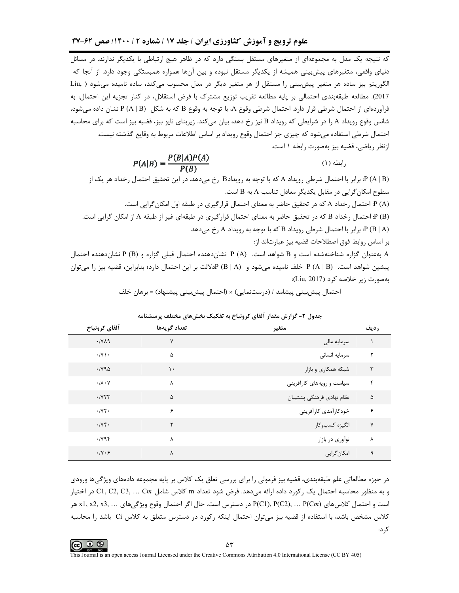که نتیجه یک مدل به مجموعهای از متغیرهای مستقل بستگی دارد که در ظاهر هیچ ارتباطی با یکدیگر ندارند. در مسائل دنیای واقعی، متغیرهای پیشبینی همیشه از یکدیگر مستقل نبوده و بین آنها همواره همبستگی وجود دارد. از آنجا که الگوریتم بیز ساده هر متغیر پیش بینی را مستقل از هر متغیر دیگر در مدل محسوب می کند، ساده نامیده می شود ( .Liu 2017). مطالعه طبقهبندى احتمالي بر پايه مطالعه تقريب توزيع مشترك با فرض استقلال، در كنار تجزيه اين احتمال، به فرآوردهای از احتمال شرطی قرار دارد. احتمال شرطی وقوع A، با توجه به وقوع B که به شکل (B | B) E نشان داده میشود، شانس وقوع رویداد A را در شرایطی که رویداد B نیز رخ دهد، بیان میکند. زیربنای نایو بیز، قضیه بیز است که برای محاسبه احتمال شرطي استفاده ميشود كه چيزي جز احتمال وقوع رويداد بر اساس اطلاعات مربوط به وقايع گذشته نيست. ازنظر رياضي، قضيه بيز بهصورت رابطه ١ است.

رابطه (1)  
\n(ابطه (1)  
\n- و(A | B) = 
$$
\frac{P(B|A)P(A)}{P(B)}
$$
  
\n- P(B) : برابر با احتمال شرطی رویداد A که با توجه به رویداد8 رخ میدهد. در این تحقیق احتمال رخداد هر یک از  
\n- QA | B) = احتمال رخداد A که در تحقیق حاضر به معنای احتمال قرارگیری در طبقه اول امکانگرایی است.  
\n- P (A) و: احتمال رخداد B که در تحقیق حاضر به معنای احتمال قرارگیری در طبقهای غیر از طبقه A از امکان گرایی است.  
\n- P (B | A)  
\n- P (B | A)  
\n- P (A | B) 3 خلف نامید د ست و و شواهد است.  
\n- P (A | B) خلف نامیده میشود و (A | B) 2ا $2\sqrt{2}$   
\n- P (A | B) خلف نامیده میشود و (B | B) 2 $2\sqrt{2}$   
\n- P (A | B) خلف نامیده میشود و (B | B) 2 $2\sqrt{2}$   
\n- P (A | B) خلف نامیده میشود و (B | B) 2 $2\sqrt{2}$   
\n- P (A | B) خلف نامیده میشود و (B | B) 2 $2\sqrt{2}$ 

بهصورت زير خلاصه كرد (Liu, 2017):

احتمال پیش بینی پیشامد / (درستنمایی) × (احتمال پیش بینی پیشنهاد) = برهان خلف

| آلفاي كرونباخ                  | تعداد گويهها | متغير                     | رديف         |
|--------------------------------|--------------|---------------------------|--------------|
| $\cdot$ / $\vee$ $\wedge$ 9    | ٧            | سرمايه مالى               |              |
| $\cdot$ /Y \ $\cdot$           | ۵            | سرمايه انسانى             | ٢            |
| $\cdot$ / $\vee$ 9 $\triangle$ | ١.           | شبکه همکاری و بازار       | $\mathsf{r}$ |
| $\cdot/\lambda\cdot\gamma$     | ٨            | سیاست و رویههای کارآفرینی | ۴            |
| .7Y                            | Δ            | نظام نهادي فرهنگي پشتيبان | Δ            |
| $\cdot$ /YY $\cdot$            | ۶            | خودكارأمدى كارأفريني      | ۶            |
| .796                           | ۲            | انگيزه كسبوكار            | $\mathsf{v}$ |
| .795                           | Υ            | نوآوري در بازار           | Λ            |
| $\cdot$ /Y $\cdot$ $\circ$     | ٨            | امكان گرايي               | ٩            |

جدول ۲- گزارش مقدار آلفای کرونباخ به تفکیک بخشهای مختلف پرسشنامه

در حوزه مطالعاتی علم طبقهبندی، قضیه بیز فرمولی را برای بررسی تعلق یک کلاس بر پایه مجموعه دادههای ویژگیها ورودی و به منظور محاسبه احتمال یک رکورد داده ارائه میدهد. فرض شود تعداد m کلاس شامل C1, C2, C3, ... Cm در اختیار است و احتمال كلاس&ى P(C1), P(C2), ... P(Cm) در دسترس است. حال اگر احتمال وقوع ويژگي@ى ب , x1, x2, x3 هر كلاس مشخص باشد، با استفاده از قضيه بيز مي توان احتمال اينكه ركورد در دسترس متعلق به كلاس Ci باشد را محاسبه کر د: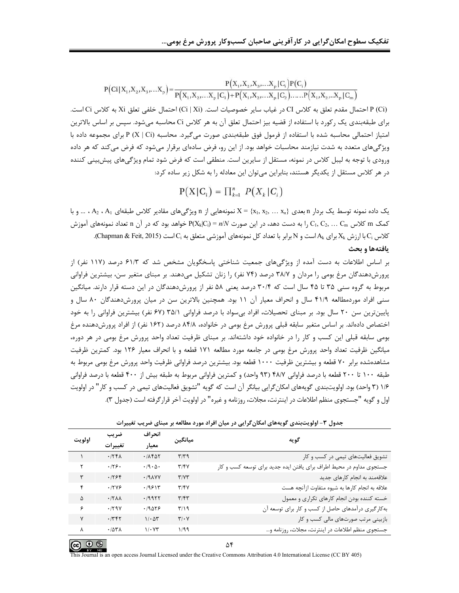$$
P(Ci|X_1, X_2, X_3, \dots, X_p) = \frac{P(X_1, X_2, X_3, \dots, X_p | C_i) P(C_i)}{P(X_1, X_2, \dots, X_p | C_1) + P(X_1, X_2, \dots, X_p | C_2) \dots P(X_1, X_2, \dots, X_p | C_m)}
$$

P (Ci) احتمال مقدم تعلق به كلاس CI در غياب ساير خصوصيات است. (Ci | Xi) احتمال خلفي تعلق Xi به كلاس Ci است. برای طبقهبندی یک رکورد با استفاده از قضیه بیز احتمال تعلق آن به هر کلاس Ci محاسبه میشود. سپس بر اساس بالاترین امتياز احتمالي محاسبه شده با استفاده از فرمول فوق طبقهبندي صورت مي گيرد. محاسبه P (X | Ci) براي مجموعه داده با ویژگیهای متعدد به شدت نیازمند محاسبات خواهد بود. از این رو، فرض سادهای برقرار می شود که فرض می کند که هر داده ورودی با توجه به لیبل کلاس در نمونه، مستقل از سایرین است. منطقی است که فرض شود تمام ویژگیهای پیش بینی کننده در هر کلاس مستقل از یکدیگر هستند، بنابراین میتوان این معادله را به شکل زیر ساده کرد:

 $P(X|C_i) = \prod_{k=1}^n P(X_k|C_i)$ 

یک داده نمونه توسط یک بردار n بعدی {x = {x<sub>1</sub>, x<sub>2</sub>, ... x,} کمونههایی از n ویژگیهای مقادیر کلاس طبقهای A1، A<sub>2</sub>، A<sub>1</sub>، و با کمک m کلاس E, C2, . . . C $_{\rm m}$  را به دست دهد، در این صورت P(X $|{\rm C_i}\vert = n/N$  خواهد بود که در آن n تعداد نمونههای آموزش .Chapman & Feit, 2015). ارزش Ak برای و N برابر با تعداد کل نمونههای آموزشی متعلق به C<sub>i</sub>، است (Chapman & Feit, 2015). يافتهها و بحث

بر اساس اطلاعات به دست آمده از ویژگیهای جمعیت شناختی پاسخگویان مشخص شد که ۶۱/۳ درصد (۱۱۷ نفر) از پرورشدهندگان مرغ بومی را مردان و ۳۸/۷ درصد (۷۴ نفر) را زنان تشکیل میدهند. بر مبنای متغیر سن، بیشترین فراوانی مربوط به گروه سنی ۳۵ تا ۴۵ سال است که ۳۰/۴ درصد یعنی ۵۸ نفر از پرورشدهندگان در این دسته قرار دارند. میانگین سنی افراد موردمطالعه ۴۱/۹ سال و انحراف معیار آن ۱۱ بود. همچنین بالاترین سن در میان پرورشدهندگان ۸۰ سال و پایینترین سن ۲۰ سال بود. بر مبنای تحصیلات، افراد بیسواد با درصد فراوانی ۳۵/۱ (۶۷ نفر) بیشترین فراوانی را به خود اختصاص دادهاند. بر اساس متغیر سابقه قبلی پرورش مرغ بومی در خانواده، ۸۴/۸ درصد (۱۶۲ نفر) از افراد پرورشدهنده مرغ بومی سابقه قبلی این کسب و کار را در خانواده خود داشتهاند. بر مبنای ظرفیت تعداد واحد پرورش مرغ بومی در هر دوره، میانگین ظرفیت تعداد واحد پرورش مرغ بومی در جامعه مورد مطالعه ۱۷۱ قطعه و با انحراف معیار ۱۲۶ بود. کمترین ظرفیت مشاهدهشده برابر ۷۰ قطعه و بیشترین ظرفیت ۱۰۰۰ قطعه بود. بیشترین درصد فراوانی ظرفیت واحد پرورش مرغ بومی مربوط به طبقه ۱۰۰ تا ۲۰۰ قطعه با درصد فراوانی ۴۸/۷ (۹۳ واحد) و کمترین فراوانی مربوط به طبقه بیش از ۴۰۰ قطعه با درصد فراوانی ۱/۶ (۳ واحد) بود. اولویتبندی گویههای امکان گرایی بیانگر آن است که گویه "تشویق فعالیتهای تیمی در کسب و کار" در اولویت اول و گويه "جستجوي منظم اطلاعات در اينترنت، مجلات، روزنامه و غيره" در اولويت آخر قرار گرفته است (جدول ٣).

| اولويت       | ضريب              | انحراف                              |                               | گو به                                                                |  |
|--------------|-------------------|-------------------------------------|-------------------------------|----------------------------------------------------------------------|--|
|              | تغييرات           | معيار                               | ميانگين                       |                                                                      |  |
|              | .75A              | .7050                               | $\mathbf{r}/\mathbf{r}$ 9     | تشویق فعالیتهای تیمی در کسب و کار                                    |  |
| ۲            | .179.             | $\cdot$ /9 $\cdot$ $\Delta$ $\cdot$ | T/FV                          | جستجوی مداوم در محیط اطراف برای یافتن ایده جدید برای توسعه کسب و کار |  |
| ٣            | .1799             | .19 <i><b>AYY</b></i>               | T/Y                           | علاقهمند به انجام كارهاى جديد                                        |  |
| ۴            | .17Y5             | .79915                              | $T/\sqrt{Y}$                  | علاقه به انجام كارها به شيوه متفاوت ازآنچه هست                       |  |
| Δ            | .77 <sub>AA</sub> | .19957                              | T/FT                          | خسته کننده بودن انجام کارهای تکراری و معمول                          |  |
| ۶            | .79Y              | .19019                              | T/19                          | به کارگیری درآمدهای حاصل از کسب و کار برای توسعه آن                  |  |
| $\mathsf{v}$ | .7757             | $1/\cdot \Delta r$                  | $\mathbf{Y}/\cdot \mathbf{Y}$ | بازبینی مرتب صورتهای مالی کسب و کار                                  |  |
| $\lambda$    | .707A             | $1/\cdot YT$                        | 1/99                          | جستجوي منظم اطلاعات در اينترنت، مجلات، روزنامه و                     |  |

جدول ۳- اولویتبندی گویههای امکان گرایی در میان افراد مورد مطالعه بر مبنای ضریب تغییرات

۵۴ ial is an open access Journal Licensed under the Creative Commons Attribution 4.0 International License (CC BY 405)

<u> ၈ န</u>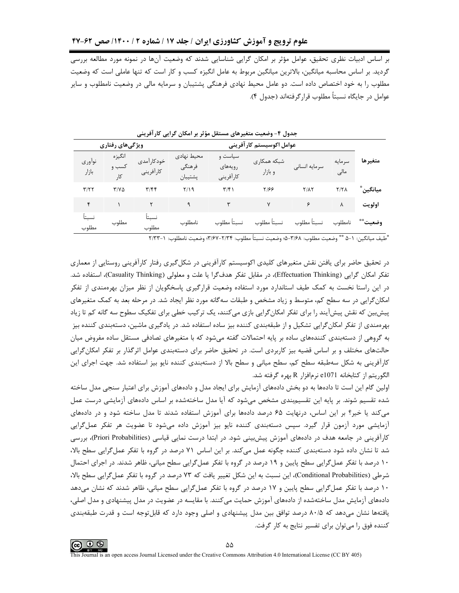بر اساس ادبیات نظری تحقیق، عوامل مؤثر بر امکان گرایی شناسایی شدند که وضعیت آنها در نمونه مورد مطالعه بررسی گردید. بر اساس محاسبه میانگین، بالاترین میانگین مربوط به عامل انگیزه کسب و کار است که تنها عاملی است که وضعیت مطلوب را به خود اختصاص داده است. دو عامل محیط نهادی فرهنگی پشتیبان و سرمایه مالی در وضعیت نامطلوب و سایر عوامل در جايگاه نسبتاً مطلوب قرار گرفتهاند (جدول ۴).

| . - رن ۱ ریسیت - - بیر - ق - - - - س - ریسی - ریسی - ریسی |                        |                         |                                 |                                 |                           |               |                 |         |
|-----------------------------------------------------------|------------------------|-------------------------|---------------------------------|---------------------------------|---------------------------|---------------|-----------------|---------|
|                                                           | ویژگیهای رفتاری        |                         |                                 |                                 | عوامل اكوسيستم كار آفرينى |               |                 |         |
| نوأوري<br>بازار                                           | انگيزه<br>کسب و<br>کا, | خودكارآمدى<br>كارأفريني | محيط نهادى<br>فرهنگى<br>پشتيبان | سیاست و<br>رويههاى<br>كارأفريني | شبکه همکاری<br>و بازار    | سرمايه انسانى | سر مایه<br>مالی | متغيرها |
| T/T                                                       | $Y/Y\Delta$            | T/FF                    | $Y/Y$ ۹                         | $\mathbf{r}/\mathbf{r}$         | 7199                      | $Y/\lambda Y$ | Y/Y             | ميانگين |
|                                                           |                        |                         | ٩                               | ٣                               | ٧                         | ۶             | ٨               | اولويت  |
| نسىتأ<br>مطلوب                                            | مطلوب                  | نسىتأ<br>مطلوب          | نامطلوب                         | نسبتاً مطلوب                    | نسبتأ مطلوب               | نسبتأ مطلوب   | نامطلوب         | وضعيت** |

حدول ۴– وضعیت متغیرهای مستقل مؤثر بر امکان گرایی کار آفرینی

"ْطيف ميانگين: ١-۵ "" وضعيت مطلوب: ٣/٤٨-۵؛ وضعيت نسبتاً مطلوب: ٣/٤٢-٣/٣٧؛ وضعيت نامطلوب: ١-٢/٣٣

در تحقیق حاضر برای یافتن نقش متغیرهای کلیدی اکوسیستم کارآفرینی در شکل گیری رفتار کارآفرینی روستایی از معماری تفكر امكان گرايي (Effectuation Thinking)، در مقابل تفكر هدفگرا يا علت و معلولي (Casuality Thinking)، استفاده شد. در این راستا نخست به کمک طیف استاندارد مورد استفاده وضعیت قرارگیری پاسخگویان از نظر میزان بهرهمندی از تفکر امکان گرایی در سه سطح کم، متوسط و زیاد مشخص و طبقات سهگانه مورد نظر ایجاد شد. در مرحله بعد به کمک متغیرهای پیش بین که نقش پیشآیند را برای تفکر امکان گرایی بازی میکنند، یک ترکیب خطی برای تفکیک سطوح سه گانه کم تا زیاد بهرهمندی از تفکر امکان گرایی تشکیل و از طبقهبندی کننده بیز ساده استفاده شد. در یادگیری ماشین، دستهبندی کننده بیز به گروهی از دستهبندی کنندههای ساده بر پایه احتمالات گفته می شود که با متغیرهای تصادفی مستقل ساده مفروض میان حالتهای مختلف و بر اساس قضیه بیز کاربردی است. در تحقیق حاضر برای دستهبندی عوامل اثرگذار بر تفکر امکان گرایی کارآفرینی به شکل سهطبقه سطح کم، سطح میانی و سطح بالا از دستهبندی کننده نایو بیز استفاده شد. جهت اجرای این الگوريتم از كتابخانه e1071 نرمافزار R بهره گرفته شد.

اولین گام این است تا دادهها به دو بخش دادههای آزمایش برای ایجاد مدل و دادههای آموزش برای اعتبار سنجی مدل ساخته شده تقسیم شوند. بر پایه این تقسیمبندی مشخص می شود که آیا مدل ساختهشده بر اساس دادههای آزمایشی درست عمل میکند یا خیر؟ بر این اساس، درنهایت ۶۵ درصد دادهها برای آموزش استفاده شدند تا مدل ساخته شود و در دادههای آزمایشی مورد آزمون قرار گیرد. سپس دستهبندی کننده نایو بیز آموزش داده میشود تا عضویت هر تفکر عمل گرایی کارآفرینی در جامعه هدف در دادههای آموزش پیش بینی شود. در ابتدا درست نمایی قیاسی (Priori Probabilities)، بررسی شد تا نشان داده شود دستهبندی کننده چگونه عمل میکند. بر این اساس ۷۱ درصد در گروه با تفکر عمل گرایی سطح بالا، ۱۰ درصد با تفکر عمل گرایی سطح پایین و ۱۹ درصد در گروه با تفکر عمل گرایی سطح میانی، ظاهر شدند. در اجرای احتمال شرطي (Conditional Probabilities)، اين نسبت به اين شكل تغيير يافت كه ٧٣ درصد در گروه با تفكر عمل گرايي سطح بالا، ۱۰ درصد با تفکر عمل گرایی سطح پایین و ۱۷ درصد در گروه با تفکر عمل گرایی سطح میانی، ظاهر شدند که نشان می دهد دادههای آزمایش مدل ساختهشده از دادههای آموزش حمایت می کنند. با مقایسه در عضویت در مدل پیشنهادی و مدل اصلی، یافتهها نشان میدهد که ۸۰/۵ درصد توافق بین مدل پیشنهادی و اصلی وجود دارد که قابلتوجه است و قدرت طبقهبندی کننده فوق را می توان برای تفسیر نتایج به کار گرفت.

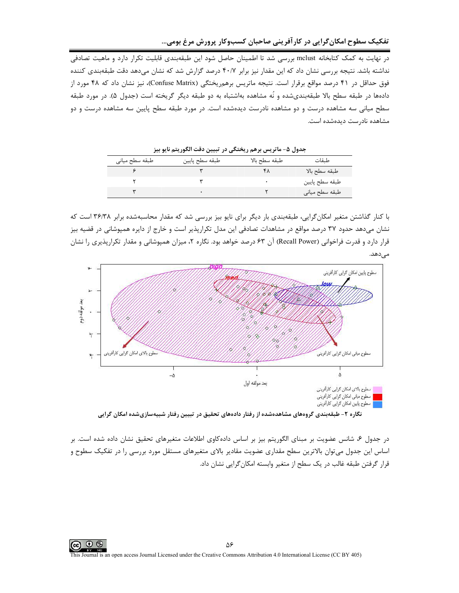در نهایت به کمک کتابخانه mclust بررسی شد تا اطمینان حاصل شود این طبقهبندی قابلیت تکرار دارد و ماهیت تصادفی نداشته باشد. نتیجه بررسی نشان داد که این مقدار نیز برابر ۴۰/۷ درصد گزارش شد که نشان میدهد دقت طبقهبندی کننده فوق حداقل در ۴۱ درصد مواقع برقرار است. نتیجه ماتریس برهم٫یختگی (Confuse Matrix)، نیز نشان داد که ۴۸ مورد از دادهها در طبقه سطح بالا طبقهبنديشده و نُه مشاهده بهاشتباه به دو طبقه ديگر گريخته است (جدول ۵). در مورد طبقه سطح میانی سه مشاهده درست و دو مشاهده نادرست دیدهشده است. در مورد طبقه سطح پایین سه مشاهده درست و دو مشاهده نادرست دیدهشده است.

| طبقه سطح ميانى | طبقه سطح پايين | طبقه سطح بالا | طىقات          |
|----------------|----------------|---------------|----------------|
|                |                |               | طبقه سطح بالا  |
|                |                |               | طبقه سطح پايين |
|                |                |               | طبقه سطح ميانى |

جدول ۵- ماتريس برهم ريختگي در تبيين دقت الگوريتم نايو بيز

با کنار گذاشتن متغیر امکان گرایی، طبقهبندی بار دیگر برای نایو بیز بررسی شد که مقدار محاسبهشده برابر ۳۶/۳۸ است که نشان میدهد حدود ۳۷ درصد مواقع در مشاهدات تصادفی این مدل تکرارپذیر است و خارج از دایره همپوشانی در قضیه بیز قرار دارد و قدرت فراخوانی (Recall Power) آن ۶۳ درصد خواهد بود. نگاره ۲، میزان همپوشانی و مقدار تکرارپذیری را نشان مى دهد.



نگاره ۲- طبقهبندی گروههای مشاهدهشده از رفتار دادههای تحقیق در تبیین رفتار شبیهسازیشده امکان گرایی

در جدول ۶، شانس عضویت بر مبنای الگوریتم بیز بر اساس دادهکاوی اطلاعات متغیرهای تحقیق نشان داده شده است. بر اساس این جدول میتوان بالاترین سطح مقداری عضویت مقادیر بالای متغیرهای مستقل مورد بررسی را در تفکیک سطوح و قرار گرفتن طبقه غالب در یک سطح از متغیر وابسته امکان گرایی نشان داد.

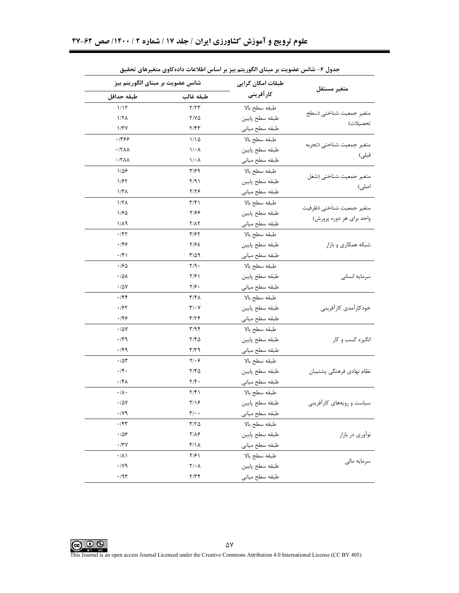| شانس عضویت بر مبنای الگوریتم بیز |                               | طبقات امكان گرايي | متغير مستقل               |
|----------------------------------|-------------------------------|-------------------|---------------------------|
| طبقه حداقل                       | طبقه غالب                     | كار آفرينى        |                           |
| 1/17                             | Y/YY                          | طبقه سطح بالا     |                           |
| ۱/۲۸                             | ۲/۷۵                          | طبقه سطح پايين    | متغير جمعيت شناختي (سطح   |
| 1/TV                             | Y/FY                          | طبقه سطح مياني    | تحصيلات)                  |
| .1499                            | 1/10                          | طبقه سطح بالا     |                           |
| .77 <sub>AA</sub>                | $1/\cdot \Lambda$             | طبقه سطح پايين    | متغير جمعيت شناختي (تجربه |
| ۸۸۲/۰                            | ۱/۰۸                          | طبقه سطح مياني    | قبلی)                     |
| $1/\Delta$ ۶                     | ۳۱۶۹                          | طبقه سطح بالا     |                           |
| 1/۶۲                             | ۲/۹۱                          | طبقه سطح پايين    | متغير جمعيت شناختي (شغل   |
| 1/T <sub>A</sub>                 | ۲/۲۶                          | طبقه سطح مياني    | اصلی)                     |
| $1/7\Lambda$                     | ۲/۴۱                          | طبقه سطح بالا     |                           |
| 1160                             | ۱۶۶                           | طبقه سطح پايين    | متغير جمعيت شناختى (ظرفيت |
| ۱/۸۹                             | <b>7/17</b>                   | طبقه سطح مياني    | واحد برای هر دوره پرورش)  |
| $\cdot$ /۴۲                      | ۳/۶۲                          | طبقه سطح بالا     |                           |
| .199                             | ۲/۶۸                          | طبقه سطح پايين    | شبکه همکاری و بازار       |
| $\cdot$ /۴۱                      | ۳/۵۹                          | طبقه سطح مياني    |                           |
| .190                             | $Y/9$ .                       | طبقه سطح بالا     |                           |
| $\cdot$ / $\Delta\lambda$        | ۲/۶۱                          | طبقه سطح پايين    | سرمايه انسانى             |
| .78V                             | $\frac{1}{2}$                 | طبقه سطح ميانى    |                           |
| .759                             | ۳/۴۸                          | طبقه سطح بالا     |                           |
| .195                             | $\mathbf{Y}/\cdot\mathbf{Y}$  | طبقه سطح پايين    | خودكارأمدي كارأفريني      |
| ۰۱۴۶                             | ۳/۲۴                          | طبقه سطح مياني    |                           |
| $\cdot$ /57                      | ۳/۹۴                          | طبقه سطح بالا     |                           |
| $\cdot$ /۳۹                      | ۲/۴۵                          | طبقه سطح پايين    | انگیزه کسب و کار          |
| $\cdot$ /۴۹                      | ۳/۳۹                          | طبقه سطح مياني    |                           |
| .78                              | $Y/\cdot 5$                   | طبقه سطح بالا     |                           |
| $\cdot$ /۴.                      | ۲/۴۵                          | طبقه سطح پايين    | نظام نهادي فرهنگي پشتيبان |
| $.75\lambda$                     | $\mathbf{Y}/\mathbf{F}$ .     | طبقه سطح مياني    |                           |
| $\cdot/\lambda$ .                | ۲/۴۱                          | طبقه سطح بالا     |                           |
| $\cdot/\Delta V$                 | ۳/۱۶                          | طبقه سطح پايين    | سیاست و رویههای کارآفرینی |
| $\cdot$ /Y9                      | $\mathbf{r}/\cdot$ .          | طبقه سطح مياني    |                           |
| $\cdot$ /۴۳                      | $T/T \Delta$                  | طبقه سطح بالا     |                           |
| $\cdot$ /08                      | $Y/\lambda$ ۶                 | طبقه سطح پايين    | نوآوري در بازار           |
| $\boldsymbol{\cdot}$ /٣٧         | $T/\lambda$                   | طبقه سطح مياني    |                           |
| $\cdot/\lambda$                  | ۲/۶۱                          | طبقه سطح بالا     |                           |
| $\cdot$ /Y9                      | $\mathbf{Y}/\cdot \mathbf{A}$ | طبقه سطح پايين    | سرمايه مالى               |
| $\cdot$ /9٣                      | Y/YF                          | طبقه سطح مياني    |                           |

جدول ۶- شانس عضويت بر مبناى الگوريتم بيز بر اساس اطلاعات داده *ك*اوى متغيرهاى تحقيق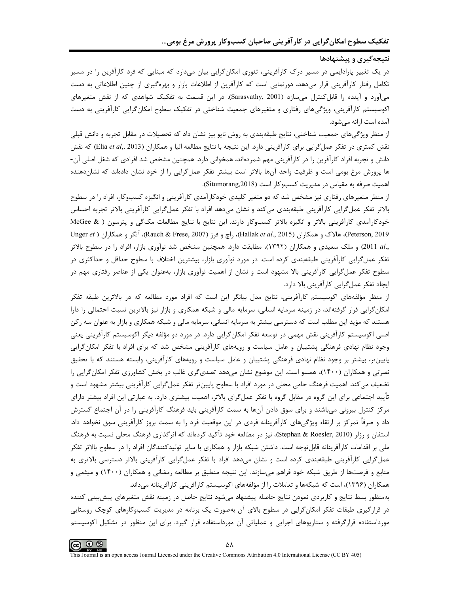.<br>نتیجهگیری و پیشنهادها

در یک تغییر پارادایمی در مسیر درک کارآفرینی، تئوری امکانگرایی بیان میدارد که مبنایی که فرد کارآفرین را در مسیر تکامل رفتار کارآفرینی قرار میدهد، دورنمایی است که کارآفرین از اطلاعات بازار و بهرهگیری از چنین اطلاعاتی به دست میآورد و آینده را قابل کنترل میسازد (Sarasvathy, 2001). در این قسمت به تفکیک شواهدی که از نقش متغیرهای اکوسیستم کارآفرینی، ویژگیهای رفتاری و متغیرهای جمعیت شناختی در تفکیک سطوح امکان گرایی کارآفرینی به دست آمده است ارائه مے شود.

از منظر ویژگیهای جمعیت شناختی، نتایج طبقهبندی به روش نایو بیز نشان داد که تحصیلات در مقابل تجربه و دانش قبلی نقش كمترى در تفكر عمل گرايي براي كارآفريني دارد. اين نتيجه با نتايج مطالعه اليا و همكاران (Elia et al,. 2013) كه نقش دانش و تجربه افراد کارآفرین را در کارآفرینی مهم شمردهاند، همخوانی دارد. همچنین مشخص شد افرادی که شغل اصلی آن-ها پرورش مرغ بومی است و ظرفیت واحد آنها بالاتر است بیشتر تفکر عملگرایی را از خود نشان دادهاند که نشاندهنده اهمیت صرفه به مقیاس در مدیریت کسبوکار است (Situmorang,2018).

از منظر متغیرهای رفتاری نیز مشخص شد که دو متغیر کلیدی خودکارآمدی کارآفرینی و انگیزه کسبوکار، افراد را در سطوح بالاتر تفكر عمل¢رايي كارآفريني طبقهبندي ميكند و نشان مىدهد افراد با تفكر عمل¢رايي كارآفريني بالاتر تجربه احساس خودکارآمدی کارآفرینی بالاتر و انگیزه بالاتر کسبوکار دارند. این نتایج با نتایج مطالعات مکگی و پترسون ( & McGee 199.Peterson, 2019)، هالاک و همکاران (Hallak et al., 2015)، راچ و فرز (Rauch & Frese, 2007)، آنگر و همکاران ( Unger et ,.al 2011) و ملک سعیدی و همکاران (۱۳۹۲)، مطابقت دارد. همچنین مشخص شد نوآوری بازار، افراد را در سطوح بالاتر تفکر عمل گرایی کارآفرینی طبقهبندی کرده است. در مورد نوآوری بازار، بیشترین اختلاف با سطوح حداقل و حداکثری در سطوح تفکر عمل گرایی کارآفرینی بالا مشهود است و نشان از اهمیت نوآوری بازار، بهعنوان یکی از عناصر رفتاری مهم در ايجاد تفكر عمل¢رايي كارآفريني بالا دارد.

از منظر مؤلفههای اکوسیستم کارآفرینی، نتایج مدل بیانگر این است که افراد مورد مطالعه که در بالاترین طبقه تفکر امکان گرایی قرار گرفتهاند، در زمینه سرمایه انسانی، سرمایه مالی و شبکه همکاری و بازار نیز بالاترین نسبت احتمالی را دارا هستند که مؤید این مطلب است که دسترسی بیشتر به سرمایه انسانی، سرمایه مالی و شبکه همکاری و بازار به عنوان سه رکن اصلی اکوسیستم کارآفرینی نقش مهمی در توسعه تفکر امکانگرایی دارد. در مورد دو مؤلفه دیگر اکوسیستم کارآفرینی یعنی وجود نظام نهادی فرهنگی پشتیبان و عامل سیاست و رویههای کارآفرینی مشخص شد که برای افراد با تفکر امکان گرایی پایینتر، بیشتر بر وجود نظام نهادی فرهنگی پشتیبان و عامل سیاست و رویههای کارآفرینی، وابسته هستند که با تحقیق نصرتی و همکاران (۱۴۰۰)، همسو است. این موضوع نشان میدهد تصدیگری غالب در بخش کشاورزی تفکر امکان گرایی را تضعیف می کند. اهمیت فرهنگ حامی محلی در مورد افراد با سطوح پایین تر تفکر عمل گرایی کارآفرینی بیشتر مشهود است و تأیید اجتماعی برای این گروه در مقابل گروه با تفکر عملگرای بالاتر، اهمیت بیشتری دارد. به عبارتی این افراد بیشتر دارای مرکز کنترل بیرونی میباشند و برای سوق دادن آنها به سمت کارآفرینی باید فرهنگ کارآفرینی را در آن اجتماع گسترش داد و صرفاً تمرکز بر ارتقاء ویژگیهای کارآفرینانه فردی در این موقعیت فرد را به سمت بروز کارآفرینی سوق نخواهد داد. استفان و رزلر (Stephan & Roesler, 2010)، نیز در مطالعه خود تأکید کردهاند که اثرگذاری فرهنگ محلی نسبت به فرهنگ ملی بر اقدامات کارآفرینانه قابلتوجه است. داشتن شبکه بازار و همکاری با سایر تولیدکنندگان افراد را در سطوح بالاتر تفکر عمل گرایی کارآفرینی طبقهبندی کرده است و نشان میدهد افراد با تفکر عمل گرایی کارآفرینی بالاتر دسترسی بالاتری به منابع و فرصتها از طریق شبکه خود فراهم می سازند. این نتیجه منطبق بر مطالعه رمضانی و همکاران (۱۴۰۰) و میثمی و همکاران (۱۳۹۶)، است که شبکهها و تعاملات را از مؤلفههای اکوسیستم کارآفرینی کارآفرینانه میداند.

بهمنظور بسط نتايج و كاربردي نمودن نتايج حاصله پيشنهاد مىشود نتايج حاصل در زمينه نقش متغيرهاى پيش بينى كننده در قرارگیری طبقات تفکر امکان گرایی در سطوح بالای آن بهصورت یک برنامه در مدیریت کسبوکارهای کوچک روستایی مورداستفاده قرارگرفته و سناریوهای اجرایی و عملیاتی آن مورداستفاده قرار گیرد. برای این منظور در تشکیل اکوسیستم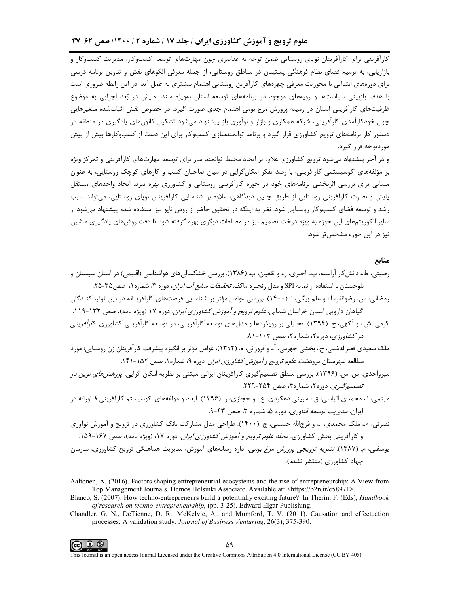کارآفرینی برای کارآفرینان نوپای روستایی ضمن توجه به عناصری چون مهارتهای توسعه کسبوکار، مدیریت کسبوکار و بازاریابی، به ترمیم فضای نظام فرهنگی پشتیبان در مناطق روستایی، از جمله معرفی الگوهای نقش و تدوین برنامه درسی برای دورههای ابتدایی با محوریت معرفی چهرههای کارآفرین روستایی اهتمام بیشتری به عمل آید. در این رابطه ضروری است با هدف بازبینی سیاستها و رویههای موجود در برنامههای توسعه استان بهویژه سند آمایش در بُعد اجرایی به موضوع ظرفیتهای کارآفرینی استان در زمینه پرورش مرغ بومی اهتمام جدی صورت گیرد. در خصوص نقش اثباتشده متغیرهایی چون خودکارآمدی کارآفرینی، شبکه همکاری و بازار و نوآوری باز پیشنهاد می شود تشکیل کانونهای یادگیری در منطقه در دستور کار برنامههای ترویج کشاورزی قرار گیرد و برنامه توانمندسازی کسبوکار برای این دست از کسبوکارها بیش از پیش موردتوجه قرار گیرد.

و در آخر پیشنهاد می شود ترویج کشاورزی علاوه بر ایجاد محیط توانمند ساز برای توسعه مهارتهای کارآفرینی و تمرکز ویژه بر مؤلفههای اکوسیستمی کارآفرینی، با رصد تفکر امکان گرایی در میان صاحبان کسب و کارهای کوچک ,وستایی، به عنوان مبنایی برای بررسی اثربخشی برنامههای خود در حوزه کارآفرینی روستایی و کشاورزی بهره ببرد. ایجاد واحدهای مستقل پایش و نظارت کارآفرینی روستایی از طریق چنین دیدگاهی، علاوه بر شناسایی کارآفرینان نوپای روستایی، میتواند سبب رشد و توسعه فضای کسبوکار روستایی شود. نظر به اینکه در تحقیق حاضر از روش نایو بیز استفاده شده پیشنهاد می شود از سایر الگوریتمهای این حوزه به ویژه درخت تصمیم نیز در مطالعات دیگری بهره گرفته شود تا دقت روش های یادگیری ماشین نیز در این حوزه مشخصتر شود.

منابع

- میرواحدی، س. س. (۱۳۹۶). بررسی منطق تصمیمگیری کارآفرینان ایرانی مبتنی بر نظریه امکان گرایی. *پژوهشهای نوین در* تصمیم *گیری.* دوره۲، شماره۴، صص ۲۵۴-۲۲۹.
- میثمی، ا.، محمدی الیاسی، ق.، مبینی دهکردی، ع.، و حجازی، ر. (۱۳۹۶). ابعاد و مولفههای اکوسیستم کارآفرینی فناورانه در ایران. *مدیریت توسعه فناوری*، دوره ۵، شماره ۳، صص ۴۳-۹.
- نصرتی، م.، ملک محمدی، ا.، و فرجالله حسینی، ج. (۱۴۰۰). طراحی مدل مشارکت بانک کشاورزی در ترویج و آموزش نوآوری و کارآفرینی بخش کشاورزی. *مجله علوم ترویج و آموزش کشاورزی ایران*. دوره ۱۷، (ویژه نامه)، صص ۱۶۷-۱۵۹.
- یوسفلی، م. (۱۳۸۷). *نشریه ترویجی پرورش مرغ بومی*. اداره رسانههای آموزش، مدیریت هماهنگی ترویج کشاورزی، سازمان جهاد کشاورزی (منتشر نشده).
- Aaltonen, A. (2016). Factors shaping entrepreneurial ecosystems and the rise of entrepreneurship: A View from Top Management Journals. Demos Helsinki Associate. Available at: <https://b2n.ir/e58971>.
- Blanco, S. (2007). How techno-entrepreneurs build a potentially exciting future?. In Therin, F. (Eds), Handbook of research on techno-entrepreneurship, (pp. 3-25). Edward Elgar Publishing.
- Chandler, G. N., DeTienne, D. R., McKelvie, A., and Mumford, T. V. (2011). Causation and effectuation processes: A validation study. Journal of Business Venturing, 26(3), 375-390.

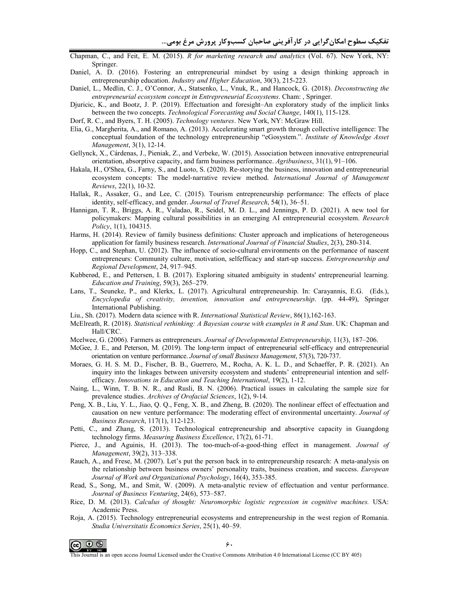- تفکیک سطوح امکان گرایی در کار آفرینی صاحبان کسب وکار پرورش مرغ بومی…<br>:Chapman, C., and Feit, E. M. (2015). *R for marketing research and analytics* (Vol. 67). New York, NY Springer.
- Daniel, A. D. (2016). Fostering an entrepreneurial mindset by using a design thinking approach in entrepreneurship education. *Industry and Higher Education*, 30(3), 215-223.
- Daniel, L., Medlin, C. J., O'Connor, A., Statsenko, L., Vnuk, R., and Hancock, G. (2018). Deconstructing the entrepreneurial ecosystem concept in Entrepreneurial Ecosystems. Cham: , Springer.
- Djuricic, K., and Bootz, J. P. (2019). Effectuation and foresight–An exploratory study of the implicit links between the two concepts. Technological Forecasting and Social Change, 140(1), 115-128.
- Dorf, R. C., and Byers, T. H. (2005). Technology ventures. New York, NY: McGraw Hill.
- Elia, G., Margherita, A., and Romano, A. (2013). Accelerating smart growth through collective intelligence: The conceptual foundation of the technology entrepreneurship "eGosystem.". Institute of Knowledge Asset Management, 3(1), 12-14.
- Gellynck, X., Cárdenas, J., Pieniak, Z., and Verbeke, W. (2015). Association between innovative entrepreneurial orientation, absorptive capacity, and farm business performance. Agribusiness, 31(1), 91–106.
- Hakala, H., O'Shea, G., Farny, S., and Luoto, S. (2020). Re-storying the business, innovation and entrepreneurial ecosystem concepts: The model-narrative review method. International Journal of Management Reviews, 22(1), 10-32.
- Hallak, R., Assaker, G., and Lee, C. (2015). Tourism entrepreneurship performance: The effects of place identity, self-efficacy, and gender. Journal of Travel Research, 54(1), 36-51.
- Hannigan, T. R., Briggs, A. R., Valadao, R., Seidel, M. D. L., and Jennings, P. D. (2021). A new tool for policymakers: Mapping cultural possibilities in an emerging AI entrepreneurial ecosystem. Research Policy, 1(1), 104315.
- Harms, H. (2014). Review of family business definitions: Cluster approach and implications of heterogeneous application for family business research. International Journal of Financial Studies, 2(3), 280-314.
- Hopp, C., and Stephan, U. (2012). The influence of socio-cultural environments on the performance of nascent entrepreneurs: Community culture, motivation, selfefficacy and start-up success. *Entrepreneurship and* Regional Development, 24, 917-945.
- Kubberød, E., and Pettersen, I. B. (2017). Exploring situated ambiguity in students' entrepreneurial learning. Education and Training, 59(3), 265-279.
- Lans, T., Seuneke, P., and Klerkx, L. (2017). Agricultural entrepreneurship. In: Carayannis, E.G. (Eds.), Encyclopedia of creativity, invention, innovation and entrepreneurship. (pp. 44-49), Springer International Publishing.
- Liu., Sh. (2017). Modern data science with R. International Statistical Review, 86(1),162-163.
- McElreath, R. (2018). Statistical rethinking: A Bayesian course with examples in R and Stan. UK: Chapman and Hall/CRC.
- Mcelwee, G. (2006). Farmers as entrepreneurs. Journal of Developmental Entrepreneurship, 11(3), 187–206.
- McGee, J. E., and Peterson, M. (2019). The long-term impact of entrepreneurial self-efficacy and entrepreneurial orientation on venture performance. Journal of small Business Management, 57(3), 720-737.
- Moraes, G. H. S. M. D., Fischer, B. B., Guerrero, M., Rocha, A. K. L. D., and Schaeffer, P. R. (2021). An inquiry into the linkages between university ecosystem and students' entrepreneurial intention and selfefficacy. Innovations in Education and Teaching International, 19(2), 1-12.
- Naing, L., Winn, T. B. N. R., and Rusli, B. N. (2006). Practical issues in calculating the sample size for prevalence studies. Archives of Orofacial Sciences, 1(2), 9-14.
- Peng, X. B., Liu, Y. L., Jiao, Q. Q., Feng, X. B., and Zheng, B. (2020). The nonlinear effect of effectuation and causation on new venture performance: The moderating effect of environmental uncertainty. Journal of Business Research, 117(1), 112-123.
- Petti, C., and Zhang, S. (2013). Technological entrepreneurship and absorptive capacity in Guangdong technology firms. Measuring Business Excellence, 17(2), 61-71.
- Pierce, J., and Aguinis, H. (2013). The too-much-of-a-good-thing effect in management. Journal of Management, 39(2), 313-338.
- Rauch, A., and Frese, M. (2007). Let's put the person back in to entrepreneurship research: A meta-analysis on the relationship between business owners' personality traits, business creation, and success. European Journal of Work and Organizational Psychology, 16(4), 353-385.
- Read, S., Song, M., and Smit, W. (2009). A meta-analytic review of effectuation and ventur performance. Journal of Business Venturing, 24(6), 573-587.
- Rice, D. M. (2013). Calculus of thought: Neuromorphic logistic regression in cognitive machines. USA: Academic Press.
- Roja, A. (2015). Technology entrepreneurial ecosystems and entrepreneurship in the west region of Romania. Studia Universitatis Economics Series, 25(1), 40-59.



This Journal is an open access Journal Licensed under the Creative Commons Attribution 4.0 International License (CC BY 405)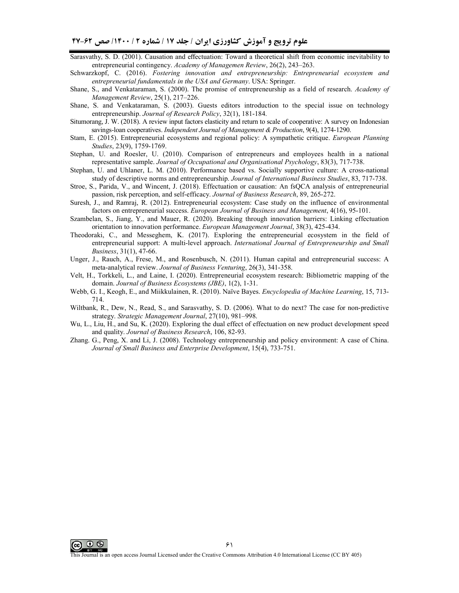Sarasvathy, S. D. (2001). Causation and effectuation: Toward a theoretical shift from economic inevitability to entrepreneurial contingency. *Academy of Managemen Review*, 26(2), 243–263.

- Schwarzkopf, C. (2016). *Fostering innovation and entrepreneurship: Entrepreneurial ecosystem and entrepreneurial fundamentals in the USA and Germany*. USA: Springer.
- Shane, S., and Venkataraman, S. (2000). The promise of entrepreneurship as a field of research. *Academy of Management Review*, 25(1), 217–226.
- Shane, S. and Venkataraman, S. (2003). Guests editors introduction to the special issue on technology entrepreneurship. *Journal of Research Policy*, 32(1), 181-184.
- Situmorang, J. W. (2018). A review input factors elasticity and return to scale of cooperative: A survey on Indonesian savings-loan cooperatives. *Independent Journal of Management & Production*, 9(4), 1274-1290.
- Stam, E. (2015). Entrepreneurial ecosystems and regional policy: A sympathetic critique. *European Planning Studies*, 23(9), 1759-1769.
- Stephan, U. and Roesler, U. (2010). Comparison of entrepreneurs and employees health in a national representative sample. *Journal of Occupational and Organisational Psychology*, 83(3), 717-738.
- Stephan, U. and Uhlaner, L. M. (2010). Performance based vs. Socially supportive culture: A cross-national study of descriptive norms and entrepreneurship. *Journal of International Business Studies*, 83, 717-738.
- Stroe, S., Parida, V., and Wincent, J. (2018). Effectuation or causation: An fsQCA analysis of entrepreneurial passion, risk perception, and self-efficacy. *Journal of Business Research*, 89, 265-272.
- Suresh, J., and Ramraj, R. (2012). Entrepreneurial ecosystem: Case study on the influence of environmental factors on entrepreneurial success. *European Journal of Business and Management*, 4(16), 95-101.
- Szambelan, S., Jiang, Y., and Mauer, R. (2020). Breaking through innovation barriers: Linking effectuation orientation to innovation performance. *European Management Journal*, 38(3), 425-434.
- Theodoraki, C., and Messeghem, K. (2017). Exploring the entrepreneurial ecosystem in the field of entrepreneurial support: A multi-level approach. *International Journal of Entrepreneurship and Small Business*, 31(1), 47-66.
- Unger, J., Rauch, A., Frese, M., and Rosenbusch, N. (2011). Human capital and entrepreneurial success: A meta-analytical review. *Journal of Business Venturing*, 26(3), 341-358.
- Velt, H., Torkkeli, L., and Laine, I. (2020). Entrepreneurial ecosystem research: Bibliometric mapping of the domain. *Journal of Business Ecosystems (JBE)*, 1(2), 1-31.
- Webb, G. I., Keogh, E., and Miikkulainen, R. (2010). Naïve Bayes. *Encyclopedia of Machine Learning*, 15, 713- 714.
- Wiltbank, R., Dew, N., Read, S., and Sarasvathy, S. D. (2006). What to do next? The case for non-predictive strategy. *Strategic Management Journal*, 27(10), 981–998.
- Wu, L., Liu, H., and Su, K. (2020). Exploring the dual effect of effectuation on new product development speed and quality. *Journal of Business Research*, 106, 82-93.
- Zhang. G., Peng, X. and Li, J. (2008). Technology entrepreneurship and policy environment: A case of China. *Journal of Small Business and Enterprise Development*, 15(4), 733-751.